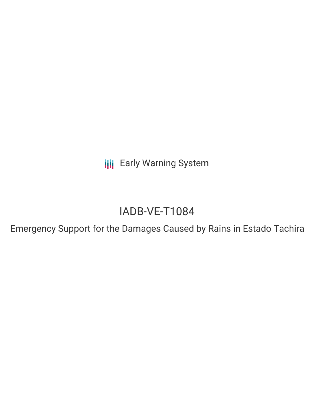**III** Early Warning System

# IADB-VE-T1084

Emergency Support for the Damages Caused by Rains in Estado Tachira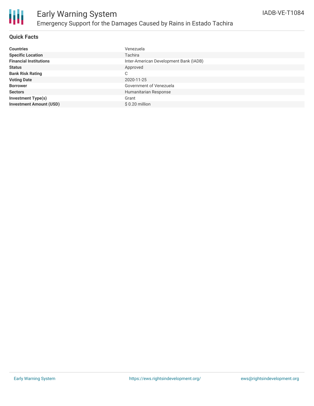

### **Quick Facts**

| <b>Countries</b>               | Venezuela                              |
|--------------------------------|----------------------------------------|
| <b>Specific Location</b>       | Tachira                                |
| <b>Financial Institutions</b>  | Inter-American Development Bank (IADB) |
| <b>Status</b>                  | Approved                               |
| <b>Bank Risk Rating</b>        | C                                      |
| <b>Voting Date</b>             | 2020-11-25                             |
| <b>Borrower</b>                | Government of Venezuela                |
| <b>Sectors</b>                 | Humanitarian Response                  |
| <b>Investment Type(s)</b>      | Grant                                  |
| <b>Investment Amount (USD)</b> | $$0.20$ million                        |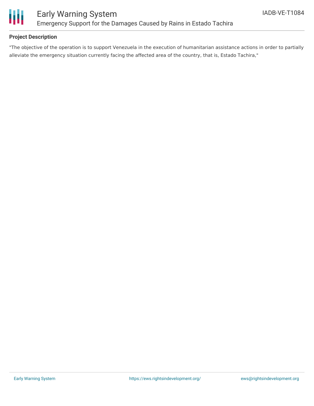

### **Project Description**

"The objective of the operation is to support Venezuela in the execution of humanitarian assistance actions in order to partially alleviate the emergency situation currently facing the affected area of the country, that is, Estado Tachira,"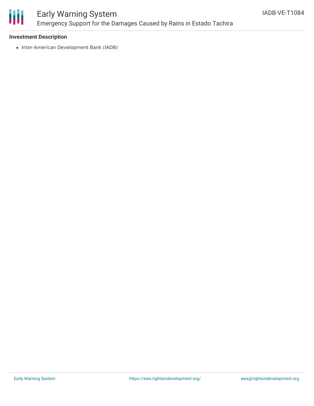

## Early Warning System Emergency Support for the Damages Caused by Rains in Estado Tachira

### **Investment Description**

• Inter-American Development Bank (IADB)